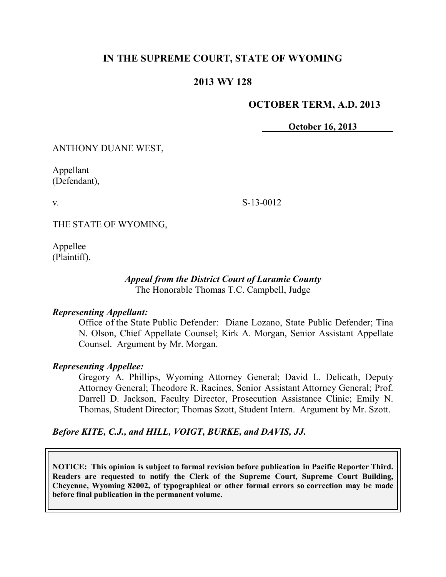# **IN THE SUPREME COURT, STATE OF WYOMING**

## **2013 WY 128**

### **OCTOBER TERM, A.D. 2013**

**October 16, 2013**

ANTHONY DUANE WEST,

Appellant (Defendant),

v.

S-13-0012

THE STATE OF WYOMING,

Appellee (Plaintiff).

#### *Appeal from the District Court of Laramie County* The Honorable Thomas T.C. Campbell, Judge

### *Representing Appellant:*

Office of the State Public Defender: Diane Lozano, State Public Defender; Tina N. Olson, Chief Appellate Counsel; Kirk A. Morgan, Senior Assistant Appellate Counsel. Argument by Mr. Morgan.

### *Representing Appellee:*

Gregory A. Phillips, Wyoming Attorney General; David L. Delicath, Deputy Attorney General; Theodore R. Racines, Senior Assistant Attorney General; Prof. Darrell D. Jackson, Faculty Director, Prosecution Assistance Clinic; Emily N. Thomas, Student Director; Thomas Szott, Student Intern. Argument by Mr. Szott.

## *Before KITE, C.J., and HILL, VOIGT, BURKE, and DAVIS, JJ.*

**NOTICE: This opinion is subject to formal revision before publication in Pacific Reporter Third. Readers are requested to notify the Clerk of the Supreme Court, Supreme Court Building, Cheyenne, Wyoming 82002, of typographical or other formal errors so correction may be made before final publication in the permanent volume.**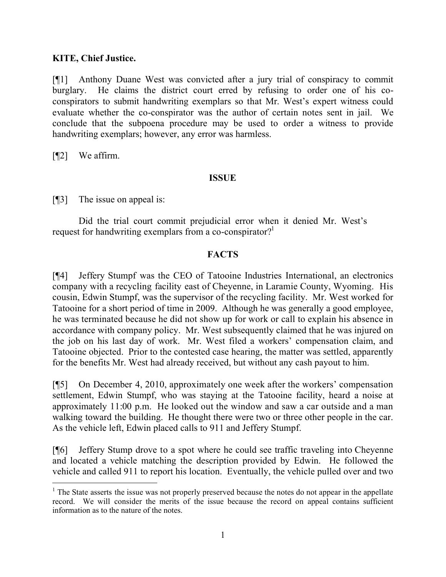### **KITE, Chief Justice.**

[¶1] Anthony Duane West was convicted after a jury trial of conspiracy to commit burglary. He claims the district court erred by refusing to order one of his coconspirators to submit handwriting exemplars so that Mr. West's expert witness could evaluate whether the co-conspirator was the author of certain notes sent in jail. We conclude that the subpoena procedure may be used to order a witness to provide handwriting exemplars; however, any error was harmless.

[¶2] We affirm.

 $\overline{a}$ 

### **ISSUE**

[¶3] The issue on appeal is:

Did the trial court commit prejudicial error when it denied Mr. West's request for handwriting exemplars from a co-conspirator?<sup>1</sup>

## **FACTS**

[¶4] Jeffery Stumpf was the CEO of Tatooine Industries International, an electronics company with a recycling facility east of Cheyenne, in Laramie County, Wyoming. His cousin, Edwin Stumpf, was the supervisor of the recycling facility. Mr. West worked for Tatooine for a short period of time in 2009. Although he was generally a good employee, he was terminated because he did not show up for work or call to explain his absence in accordance with company policy. Mr. West subsequently claimed that he was injured on the job on his last day of work. Mr. West filed a workers' compensation claim, and Tatooine objected. Prior to the contested case hearing, the matter was settled, apparently for the benefits Mr. West had already received, but without any cash payout to him.

[¶5] On December 4, 2010, approximately one week after the workers' compensation settlement, Edwin Stumpf, who was staying at the Tatooine facility, heard a noise at approximately 11:00 p.m. He looked out the window and saw a car outside and a man walking toward the building. He thought there were two or three other people in the car. As the vehicle left, Edwin placed calls to 911 and Jeffery Stumpf.

[¶6] Jeffery Stump drove to a spot where he could see traffic traveling into Cheyenne and located a vehicle matching the description provided by Edwin. He followed the vehicle and called 911 to report his location. Eventually, the vehicle pulled over and two

<sup>&</sup>lt;sup>1</sup> The State asserts the issue was not properly preserved because the notes do not appear in the appellate record. We will consider the merits of the issue because the record on appeal contains sufficient information as to the nature of the notes.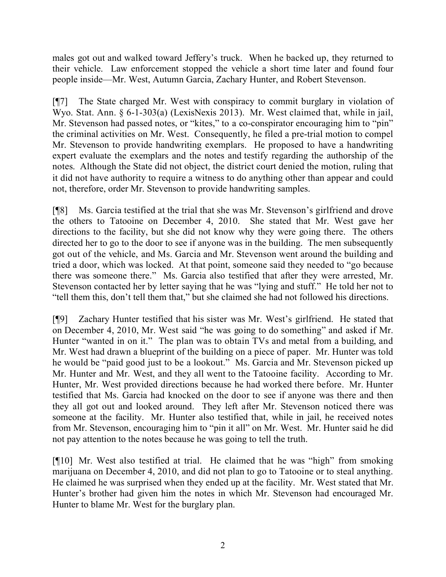males got out and walked toward Jeffery's truck. When he backed up, they returned to their vehicle. Law enforcement stopped the vehicle a short time later and found four people inside—Mr. West, Autumn Garcia, Zachary Hunter, and Robert Stevenson.

[¶7] The State charged Mr. West with conspiracy to commit burglary in violation of Wyo. Stat. Ann. § 6-1-303(a) (LexisNexis 2013). Mr. West claimed that, while in jail, Mr. Stevenson had passed notes, or "kites," to a co-conspirator encouraging him to "pin" the criminal activities on Mr. West. Consequently, he filed a pre-trial motion to compel Mr. Stevenson to provide handwriting exemplars. He proposed to have a handwriting expert evaluate the exemplars and the notes and testify regarding the authorship of the notes. Although the State did not object, the district court denied the motion, ruling that it did not have authority to require a witness to do anything other than appear and could not, therefore, order Mr. Stevenson to provide handwriting samples.

[¶8] Ms. Garcia testified at the trial that she was Mr. Stevenson's girlfriend and drove the others to Tatooine on December 4, 2010. She stated that Mr. West gave her directions to the facility, but she did not know why they were going there. The others directed her to go to the door to see if anyone was in the building. The men subsequently got out of the vehicle, and Ms. Garcia and Mr. Stevenson went around the building and tried a door, which was locked. At that point, someone said they needed to "go because there was someone there." Ms. Garcia also testified that after they were arrested, Mr. Stevenson contacted her by letter saying that he was "lying and stuff." He told her not to "tell them this, don't tell them that," but she claimed she had not followed his directions.

[¶9] Zachary Hunter testified that his sister was Mr. West's girlfriend. He stated that on December 4, 2010, Mr. West said "he was going to do something" and asked if Mr. Hunter "wanted in on it." The plan was to obtain TVs and metal from a building, and Mr. West had drawn a blueprint of the building on a piece of paper. Mr. Hunter was told he would be "paid good just to be a lookout." Ms. Garcia and Mr. Stevenson picked up Mr. Hunter and Mr. West, and they all went to the Tatooine facility. According to Mr. Hunter, Mr. West provided directions because he had worked there before. Mr. Hunter testified that Ms. Garcia had knocked on the door to see if anyone was there and then they all got out and looked around. They left after Mr. Stevenson noticed there was someone at the facility. Mr. Hunter also testified that, while in jail, he received notes from Mr. Stevenson, encouraging him to "pin it all" on Mr. West. Mr. Hunter said he did not pay attention to the notes because he was going to tell the truth.

[¶10] Mr. West also testified at trial. He claimed that he was "high" from smoking marijuana on December 4, 2010, and did not plan to go to Tatooine or to steal anything. He claimed he was surprised when they ended up at the facility. Mr. West stated that Mr. Hunter's brother had given him the notes in which Mr. Stevenson had encouraged Mr. Hunter to blame Mr. West for the burglary plan.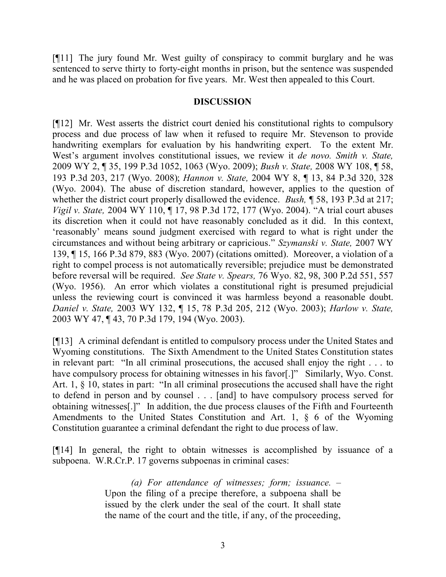[¶11] The jury found Mr. West guilty of conspiracy to commit burglary and he was sentenced to serve thirty to forty-eight months in prison, but the sentence was suspended and he was placed on probation for five years. Mr. West then appealed to this Court.

### **DISCUSSION**

[¶12] Mr. West asserts the district court denied his constitutional rights to compulsory process and due process of law when it refused to require Mr. Stevenson to provide handwriting exemplars for evaluation by his handwriting expert. To the extent Mr. West's argument involves constitutional issues, we review it *de novo. Smith v. State,*  2009 WY 2, ¶ 35, 199 P.3d 1052, 1063 (Wyo. 2009); *Bush v. State,* 2008 WY 108, ¶ 58, 193 P.3d 203, 217 (Wyo. 2008); *Hannon v. State,* 2004 WY 8, ¶ 13, 84 P.3d 320, 328 (Wyo. 2004). The abuse of discretion standard, however, applies to the question of whether the district court properly disallowed the evidence. *Bush,* ¶ 58, 193 P.3d at 217; *Vigil v. State,* 2004 WY 110, ¶ 17, 98 P.3d 172, 177 (Wyo. 2004). "A trial court abuses its discretion when it could not have reasonably concluded as it did. In this context, 'reasonably' means sound judgment exercised with regard to what is right under the circumstances and without being arbitrary or capricious." *Szymanski v. State,* 2007 WY 139, ¶ 15, 166 P.3d 879, 883 (Wyo. 2007) (citations omitted). Moreover, a violation of a right to compel process is not automatically reversible; prejudice must be demonstrated before reversal will be required. *See State v. Spears,* 76 Wyo. 82, 98, 300 P.2d 551, 557 (Wyo. 1956). An error which violates a constitutional right is presumed prejudicial unless the reviewing court is convinced it was harmless beyond a reasonable doubt. *Daniel v. State,* 2003 WY 132, ¶ 15, 78 P.3d 205, 212 (Wyo. 2003); *Harlow v. State,*  2003 WY 47, ¶ 43, 70 P.3d 179, 194 (Wyo. 2003).

[¶13] A criminal defendant is entitled to compulsory process under the United States and Wyoming constitutions. The Sixth Amendment to the United States Constitution states in relevant part: "In all criminal prosecutions, the accused shall enjoy the right . . . to have compulsory process for obtaining witnesses in his favor[.]" Similarly, Wyo. Const. Art. 1, § 10, states in part: "In all criminal prosecutions the accused shall have the right to defend in person and by counsel . . . [and] to have compulsory process served for obtaining witnesses[.]" In addition, the due process clauses of the Fifth and Fourteenth Amendments to the United States Constitution and Art. 1, § 6 of the Wyoming Constitution guarantee a criminal defendant the right to due process of law.

[¶14] In general, the right to obtain witnesses is accomplished by issuance of a subpoena. W.R.Cr.P. 17 governs subpoenas in criminal cases:

> *(a) For attendance of witnesses; form; issuance. –* Upon the filing of a precipe therefore, a subpoena shall be issued by the clerk under the seal of the court. It shall state the name of the court and the title, if any, of the proceeding,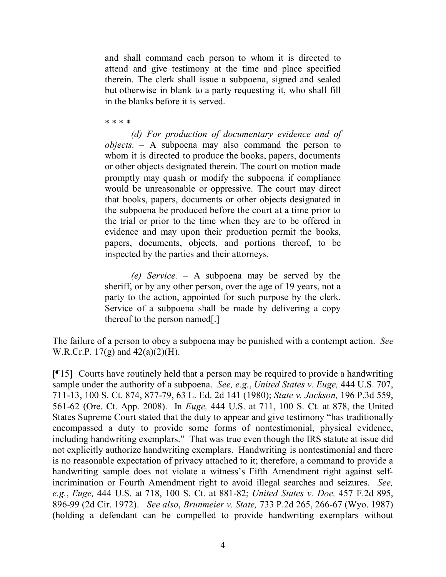and shall command each person to whom it is directed to attend and give testimony at the time and place specified therein. The clerk shall issue a subpoena, signed and sealed but otherwise in blank to a party requesting it, who shall fill in the blanks before it is served.

\* \* \* \*

*(d) For production of documentary evidence and of objects. –* A subpoena may also command the person to whom it is directed to produce the books, papers, documents or other objects designated therein. The court on motion made promptly may quash or modify the subpoena if compliance would be unreasonable or oppressive. The court may direct that books, papers, documents or other objects designated in the subpoena be produced before the court at a time prior to the trial or prior to the time when they are to be offered in evidence and may upon their production permit the books, papers, documents, objects, and portions thereof, to be inspected by the parties and their attorneys.

*(e) Service. –* A subpoena may be served by the sheriff, or by any other person, over the age of 19 years, not a party to the action, appointed for such purpose by the clerk. Service of a subpoena shall be made by delivering a copy thereof to the person named[.]

The failure of a person to obey a subpoena may be punished with a contempt action. *See* W.R.Cr.P. 17(g) and 42(a)(2)(H).

[¶15] Courts have routinely held that a person may be required to provide a handwriting sample under the authority of a subpoena. *See, e.g.*, *United States v. Euge,* 444 U.S. 707, 711-13, 100 S. Ct. 874, 877-79, 63 L. Ed. 2d 141 (1980); *State v. Jackson,* 196 P.3d 559, 561-62 (Ore. Ct. App. 2008). In *Euge,* 444 U.S. at 711, 100 S. Ct. at 878, the United States Supreme Court stated that the duty to appear and give testimony "has traditionally encompassed a duty to provide some forms of nontestimonial, physical evidence, including handwriting exemplars." That was true even though the IRS statute at issue did not explicitly authorize handwriting exemplars. Handwriting is nontestimonial and there is no reasonable expectation of privacy attached to it; therefore, a command to provide a handwriting sample does not violate a witness's Fifth Amendment right against selfincrimination or Fourth Amendment right to avoid illegal searches and seizures. *See, e.g.*, *Euge,* 444 U.S. at 718, 100 S. Ct. at 881-82; *United States v. Doe,* 457 F.2d 895, 896-99 (2d Cir. 1972). *See also*, *Brunmeier v. State,* 733 P.2d 265, 266-67 (Wyo. 1987) (holding a defendant can be compelled to provide handwriting exemplars without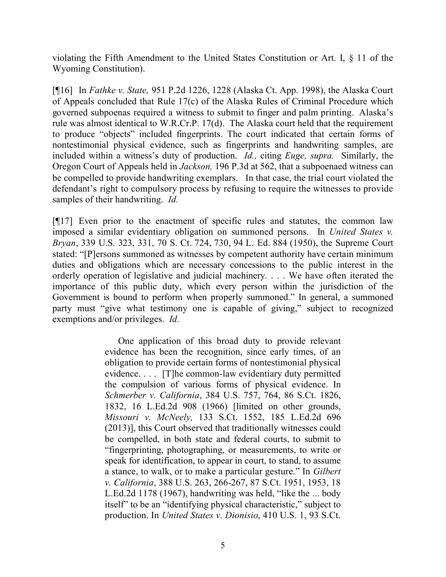violating the Fifth Amendment to the United States Constitution or Art. I, § 11 of the Wyoming Constitution).

[¶16] In *Fathke v. State,* 951 P.2d 1226, 1228 (Alaska Ct. App. 1998), the Alaska Court of Appeals concluded that Rule 17(c) of the Alaska Rules of Criminal Procedure which governed subpoenas required a witness to submit to finger and palm printing. Alaska's rule was almost identical to W.R.Cr.P. 17(d). The Alaska court held that the requirement to produce "objects" included fingerprints. The court indicated that certain forms of nontestimonial physical evidence, such as fingerprints and handwriting samples, are included within a witness's duty of production. *Id.,* citing *Euge, supra.* Similarly, the Oregon Court of Appeals held in *Jackson,* 196 P.3d at 562, that a subpoenaed witness can be compelled to provide handwriting exemplars. In that case, the trial court violated the defendant's right to compulsory process by refusing to require the witnesses to provide samples of their handwriting. *Id.* 

[¶17] Even prior to the enactment of specific rules and statutes, the common law imposed a similar evidentiary obligation on summoned persons. In *United States v. Bryan*, 339 U.S. 323, 331, 70 S. Ct. 724, 730, 94 L. Ed. 884 (1950), the Supreme Court stated: "[P]ersons summoned as witnesses by competent authority have certain minimum duties and obligations which are necessary concessions to the public interest in the orderly operation of legislative and judicial machinery. . . . We have often iterated the importance of this public duty, which every person within the jurisdiction of the Government is bound to perform when properly summoned." In general, a summoned party must "give what testimony one is capable of giving," subject to recognized exemptions and/or privileges. *Id.* 

> One application of this broad duty to provide relevant evidence has been the recognition, since early times, of an obligation to provide certain forms of nontestimonial physical evidence. . . . [T]he common-law evidentiary duty permitted the compulsion of various forms of physical evidence. In *Schmerber v. California*, 384 U.S. 757, 764, 86 S.Ct. 1826, 1832, 16 L.Ed.2d 908 (1966) [limited on other grounds, *Missouri v. McNeely,* 133 S.Ct. 1552, 185 L.Ed.2d 696 (2013)], this Court observed that traditionally witnesses could be compelled, in both state and federal courts, to submit to "fingerprinting, photographing, or measurements, to write or speak for identification, to appear in court, to stand, to assume a stance, to walk, or to make a particular gesture." In *Gilbert v. California*, 388 U.S. 263, 266-267, 87 S.Ct. 1951, 1953, 18 L.Ed.2d 1178 (1967), handwriting was held, "like the ... body itself" to be an "identifying physical characteristic," subject to production. In *United States v. Dionisio*, 410 U.S. 1, 93 S.Ct.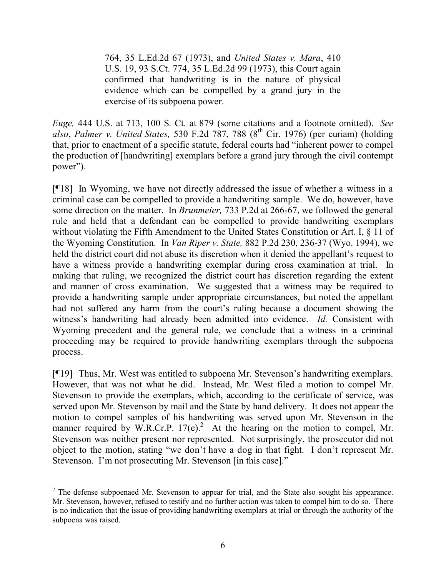764, 35 L.Ed.2d 67 (1973), and *United States v. Mara*, 410 U.S. 19, 93 S.Ct. 774, 35 L.Ed.2d 99 (1973), this Court again confirmed that handwriting is in the nature of physical evidence which can be compelled by a grand jury in the exercise of its subpoena power.

*Euge,* 444 U.S. at 713, 100 S. Ct. at 879 (some citations and a footnote omitted). *See also*, *Palmer v. United States,* 530 F.2d 787, 788 (8th Cir. 1976) (per curiam) (holding that, prior to enactment of a specific statute, federal courts had "inherent power to compel the production of [handwriting] exemplars before a grand jury through the civil contempt power").

[¶18] In Wyoming, we have not directly addressed the issue of whether a witness in a criminal case can be compelled to provide a handwriting sample. We do, however, have some direction on the matter. In *Brunmeier,* 733 P.2d at 266-67, we followed the general rule and held that a defendant can be compelled to provide handwriting exemplars without violating the Fifth Amendment to the United States Constitution or Art. I, § 11 of the Wyoming Constitution. In *Van Riper v. State,* 882 P.2d 230, 236-37 (Wyo. 1994), we held the district court did not abuse its discretion when it denied the appellant's request to have a witness provide a handwriting exemplar during cross examination at trial. In making that ruling, we recognized the district court has discretion regarding the extent and manner of cross examination. We suggested that a witness may be required to provide a handwriting sample under appropriate circumstances, but noted the appellant had not suffered any harm from the court's ruling because a document showing the witness's handwriting had already been admitted into evidence. *Id.* Consistent with Wyoming precedent and the general rule, we conclude that a witness in a criminal proceeding may be required to provide handwriting exemplars through the subpoena process.

[¶19] Thus, Mr. West was entitled to subpoena Mr. Stevenson's handwriting exemplars. However, that was not what he did. Instead, Mr. West filed a motion to compel Mr. Stevenson to provide the exemplars, which, according to the certificate of service, was served upon Mr. Stevenson by mail and the State by hand delivery. It does not appear the motion to compel samples of his handwriting was served upon Mr. Stevenson in the manner required by W.R.Cr.P.  $17(e)^2$ . At the hearing on the motion to compel, Mr. Stevenson was neither present nor represented. Not surprisingly, the prosecutor did not object to the motion, stating "we don't have a dog in that fight. I don't represent Mr. Stevenson. I'm not prosecuting Mr. Stevenson [in this case]."

 $\overline{a}$ 

 $2$  The defense subpoenaed Mr. Stevenson to appear for trial, and the State also sought his appearance. Mr. Stevenson, however, refused to testify and no further action was taken to compel him to do so. There is no indication that the issue of providing handwriting exemplars at trial or through the authority of the subpoena was raised.